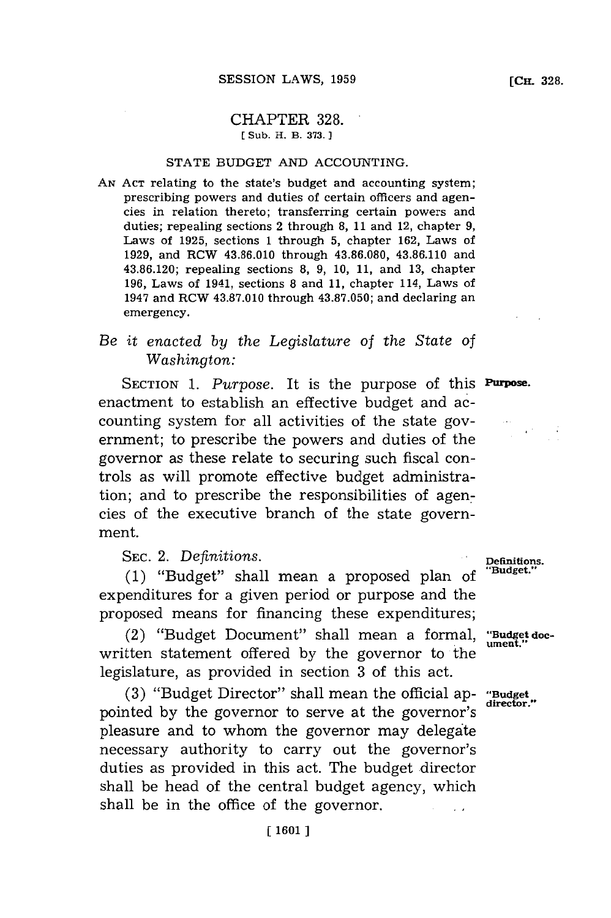#### CHAPTER **328. [ Sub. H. B. 373.]**

## **STATE BUDGET AND ACCOUNTING.**

**AN ACT** relating to the state's budget and accounting system; prescribing powers and duties of certain officers and agencies in relation thereto; transferring certain powers and duties; repealing sections 2 through **8, 11** and 12, chapter **9,** Laws of **1925,** sections **1** through **5,** chapter **162,** Laws of **1929,** and RCW **43.86.010** through **43.86.080, 43.86.110** and **43.86.120;** repealing sections **8, 9, 10, 11,** and **13,** chapter **196,** Laws of 1941, sections **8** and **11,** chapter 114, Laws of 1947 and RCW **43.87.010** through **43.87.050;** and declaring an emergency.

# *Be it enacted by the Legislature* of *the State of Washington:*

SECTION 1. Purpose. It is the purpose of this **Purpose.** enactment to establish an effective budget and accounting system for all activities of the state government; to prescribe the powers and duties of the governor as these relate to securing such fiscal controls as will promote effective budget administration; and to prescribe the responsibilities of agencies of the executive branch of the state government.

SEC. 2. *Definitions*. *Definitions. Penditions. Penditions. Penditions. Paudget.* **(1)** "Budget" shall mean a proposed plan **of "Budget."** expenditures for a given period or purpose and the proposed means for financing these expenditures;

(2) "Budget Document" shall mean a formal, **"Budget doc**written statement offered by the governor to the legislature, as provided in section **3** of this act.

**(3)** "Budget Director" shall mean the official ap- **"Budget** pointed by the governor to serve at the governor's pleasure and to whom the governor may delegate necessary authority to carry out the governor's duties as provided in this act. The budget director shall be head of the central budget agency, which shall be in the office of the governor.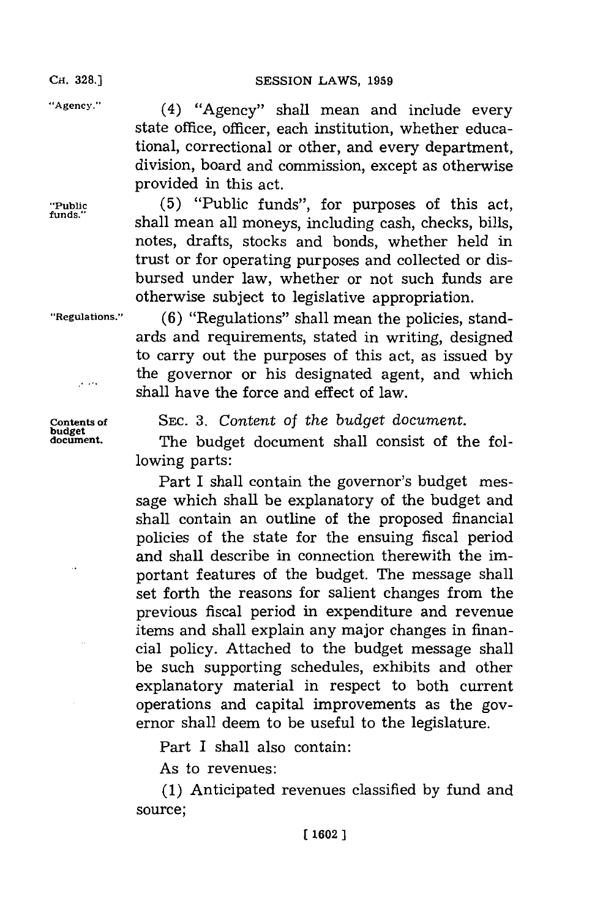**CH. 328.)**

"Agency."

**"PubJ funds**

(4) "Agency" shall mean and include every state office, officer, each institution, whether educational, correctional or other, and every department, division, board and commission, except as otherwise provided in this act.

lic **(5)** "Public funds", for purposes of this act, shall mean all moneys, including cash, checks, bills, notes, drafts, stocks and bonds, whether held in trust or for operating purposes and collected or disbursed under law, whether or not such funds are otherwise subject to legislative appropriation.

"Regulations."

وحداجر

**ulations." (6)** "Regulations" shall mean the policies, standards and requirements, stated in writing, designed to carry out the purposes of this act, as issued **by** the governor or his designated agent, and which shall have the force and effect of law.

Contents of **budget** document.

SEC. 3. Content of the budget document.

The budget document shall consist of the following parts:

Part I shall contain the governor's budget message which shall be explanatory of the budget and shall contain an outline of the proposed financial policies of the state for the ensuing fiscal period and shall describe in connection therewith the important features of the budget. The message shall set forth the reasons for salient changes from the previous fiscal period in expenditure and revenue items and shall explain any major changes in financial policy. Attached to the budget message shall be such supporting schedules, exhibits and other explanatory material in respect to both current operations and capital improvements as the governor shall deem to be useful to the legislature.

Part I shall also contain:

As to revenues:

**(1)** Anticipated revenues classified **by** fund and source;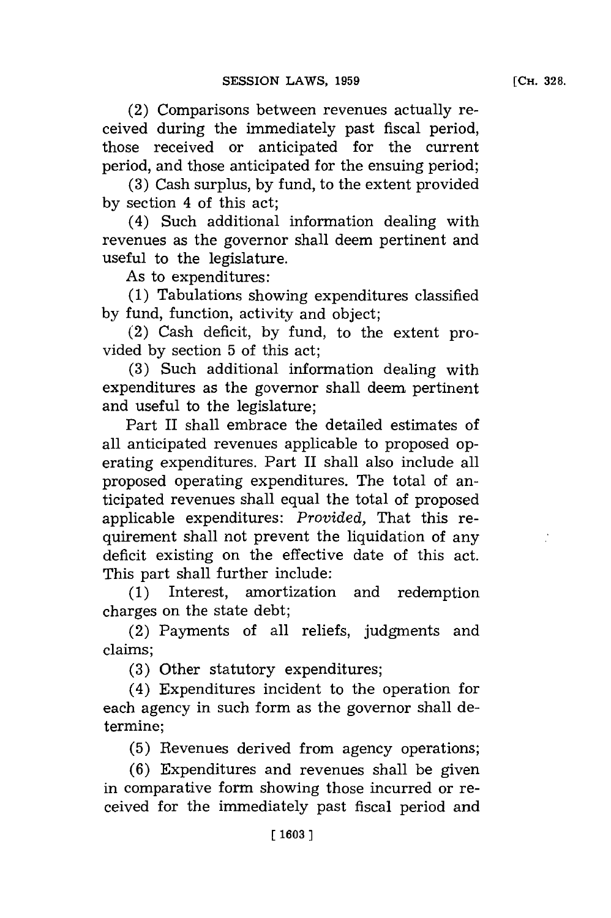(2) Comparisons between revenues actually received during the immediately past fiscal period, those received or anticipated for the current period, and those anticipated for the ensuing period;

**(3)** Cash surplus, **by** fund, to the extent provided **by** section 4 of this act;

(4) Such additional information dealing with revenues as the governor shall deem pertinent and useful to the legislature.

As to expenditures:

**(1)** Tabulations showing expenditures classified **by** fund, function, activity and object;

(2) Cash deficit, **by** fund, to the extent provided **by** section **5** of this act;

**(3)** Such additional information dealing with expenditures as the governor shall deem pertinent and useful to the legislature;

Part II shall embrace the detailed estimates of all anticipated revenues applicable to proposed operating expenditures. Part II shall also include all proposed operating expenditures. The total of anticipated revenues shall equal the total of proposed applicable expenditures: *Provided,* That this requirement shall not prevent the liquidation of any deficit existing on the effective date of this act. This part shall further include:

**(1)** Interest, amortization and redemption charges on the state debt;

(2) Payments of all reliefs, judgments and claims;

**(3)** Other statutory expenditures;

(4) Expenditures incident to the operation for each agency in such form as the governor shall determine;

**(5)** Revenues derived from agency operations;

**(6)** Expenditures and revenues shall be given in comparative form showing those incurred or received for the immediately past fiscal period and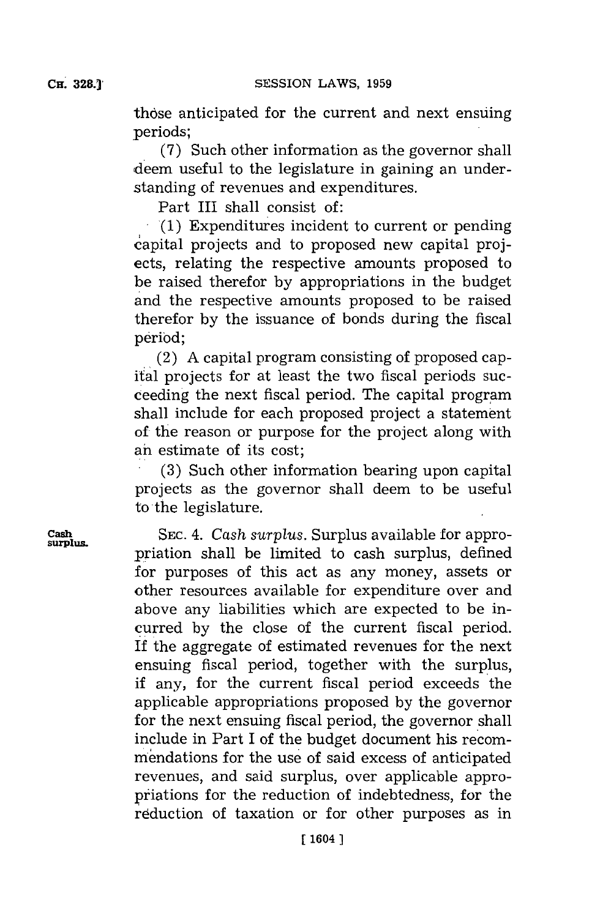those anticipated for the current and next ensuing periods;

**(7)** Such other information as the governor shall deem useful to the legislature in gaining an understanding of revenues and expenditures.

Part III shall consist of:

**'(1)** Expenditures incident to current or pending capital projects and to proposed new capital projects, relating the respective amounts proposed to be raised therefor by appropriations in the budget and the respective amounts proposed to be raised therefor **by** the issuance of bonds during the fiscal period;

(2) **A** capital program consisting of proposed capital projects for at least the two fiscal periods succeeding the next fiscal period. The capital program shall include for each proposed project a statement of the reason or purpose for the project along with an estimate of its cost;

**(3)** Such other information bearing upon capital projects as the governor shall deem to be useful to the legislature.

**Cash SEC.** 4. Cash surplus. Surplus available for appropriation shall be limited to cash surplus, defined for purposes of this act as any money, assets or other resources available for expenditure over and above any liabilities which are expected to be incurred **by** the close of the current fiscal period. If the aggregate of estimated revenues for the next ensuing fiscal period, together with the surplus, if any, for the current fiscal period exceeds the applicable appropriations proposed **by** the governor for the next ensuing fiscal period, the governor shall include in Part I of the budget document his recommendations for the use of said excess of anticipated revenues, and said surplus, over applicable appropriations for the reduction of indebtedness, for the reduction of taxation or for other purposes as in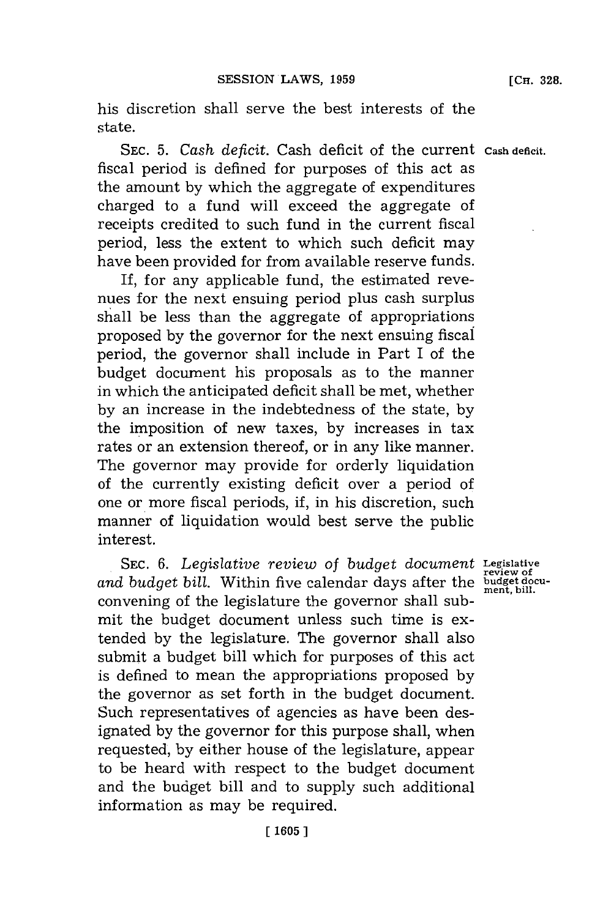his discretion shall serve the best interests of the state.

**SEC. 5.** *Cash deficit.* Cash deficit of the current **Cash deficit.** fiscal period is defined for purposes of this act as the amount **by** which the aggregate of expenditures charged to a fund will exceed the aggregate of receipts credited to such fund in the current fiscal period, less the extent to which such deficit may have been provided for from available reserve funds.

If, for any applicable fund, the estimated revenues for the next ensuing period plus cash surplus shall be less than the aggregate of appropriations proposed **by** the governor for the next ensuing fiscal period, the governor shall include in Part I of the budget document his proposals as to the manner in which the anticipated deficit shall be met, whether **by** an increase in the indebtedness of the state, **by** the imposition of new taxes, **by** increases in tax rates or an extension thereof, or in any like manner. The governor may provide for orderly liquidation of the currently existing deficit over a period of one or more fiscal periods, if, in his discretion, such manner of liquidation would best serve the public interest.

SEC. **6.** *Legislative review* of *budget document* **Legislative** and budget bill. Within five calendar days after the **budget** document bill. convening of the legislature the governor shall submit the budget document unless such time is extended **by** the legislature. The governor shall also submit a budget bill which for purposes of this act is defined to mean the appropriations proposed **by** the governor as set forth in the budget document. Such representatives of agencies as have been designated **by** the governor for this purpose shall, when requested, **by** either house of the legislature, appear to be heard with respect to the budget document and the budget bill and to supply such additional information as may be required.

**review of**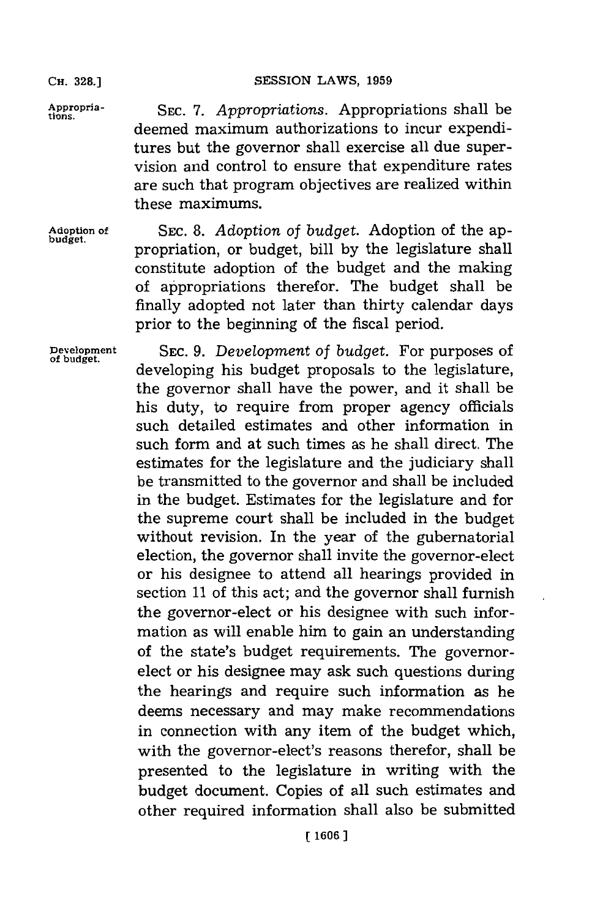**CH. 328.]**

Appropria-<br>
SEC. 7. *Appropriations*. Appropriations shall be deemed maximum authorizations to incur expenditures but the governor shall exercise all due supervision and control to ensure that expenditure rates are such that program objectives are realized within these maximums.

Adoption of SEC. 8. *Adoption of budget*. Adoption of the apbudget. propriation, or budget, bill **by** the legislature shall constitute adoption of the budget and the making of appropriations therefor. The budget shall be finally adopted not later than thirty calendar days prior to the beginning of the fiscal period.

**Development SEC. 9.** *Development of budget.* For purposes of developing his budget proposals to the legislature, the governor shall have the power, and it shall be his duty, to require from proper agency officials such detailed estimates and other information in such form and at such times as he shall direct. The estimates for the legislature and the judiciary shall be transmitted to the governor and shall be included in the budget. Estimates for the legislature and for the supreme court shall be included in the budget without revision. In the year of the gubernatorial election, the governor shall invite the governor-elect or his designee to attend all hearings provided in section **11** of this act; and the governor shall furnish the governor-elect or his designee with such information as will enable him to gain an understanding of the state's budget requirements. The governorelect or his designee may ask such questions during the hearings and require such information as he deems necessary and may make recommendations in connection with any item of the budget which, with the governor-elect's reasons therefor, shall be presented to the legislature in writing with the budget document. Copies of all such estimates and other required information shall also be submitted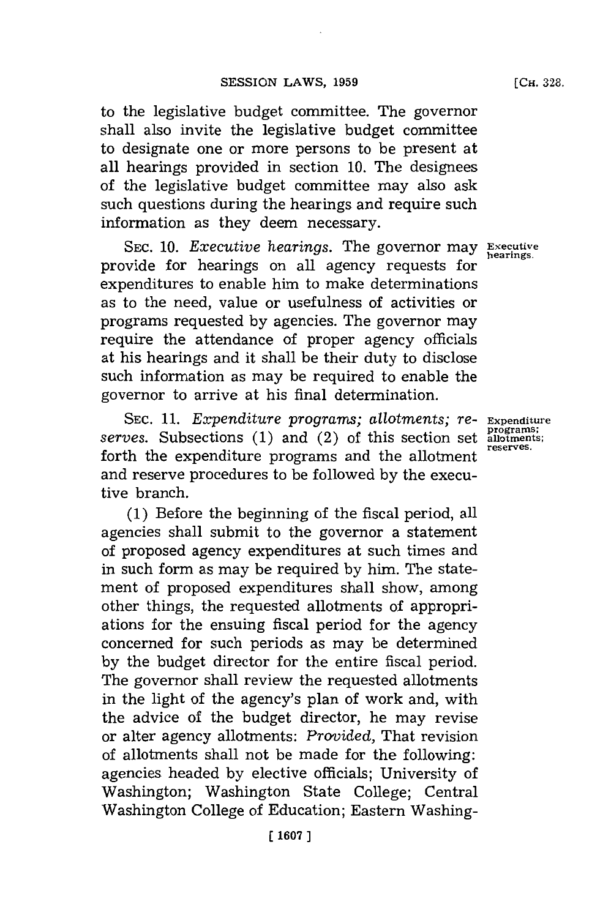to the legislative budget committee. The governor shall also invite the legislative budget committee to designate one or more persons to be present at all hearings provided in section **10.** The designees of the legislative budget committee may also ask such questions during the hearings and require such information as they deem necessary.

**SEC. 10.** *Executive hearings.* The governor may **Executive** provide for hearings on all agency requests for **hearings.** expenditures to enable him to make determinations as to the need, value or usefulness of activities or programs requested **by** agencies. The governor may require the attendance of proper agency officials at his hearings and it shall be their duty to disclose such information as may be required to enable the governor to arrive at his final determination.

SEC. 11. *Expenditure programs; allotments; re-* Expenditure<br>ves. Subsections (1) and (2) of this section set allotments; serves. Subsections (1) and (2) of this section set **allotment** reserves. forth the expenditure programs and the allotment and reserve procedures to be followed **by** the executive branch.

**(1)** Before the beginning of the fiscal period, all agencies shall submit to the governor a statement of proposed agency expenditures at such times and in such form as may be required **by** him. The statement of proposed expenditures shall show, among other things, the requested allotments of appropriations for the ensuing fiscal period for the agency concerned for such periods as may be determined **by** the budget director for the entire fiscal period. The governor shall review the requested allotments in the light of the agency's plan of work and, with the advice of the budget director, he may revise or alter agency allotments: *Provided,* That revision of allotments shall not be made for the following: agencies headed **by** elective officials; University of Washington; Washington State College; Central Washington College of Education; Eastern Washing-

**[CH. 328.**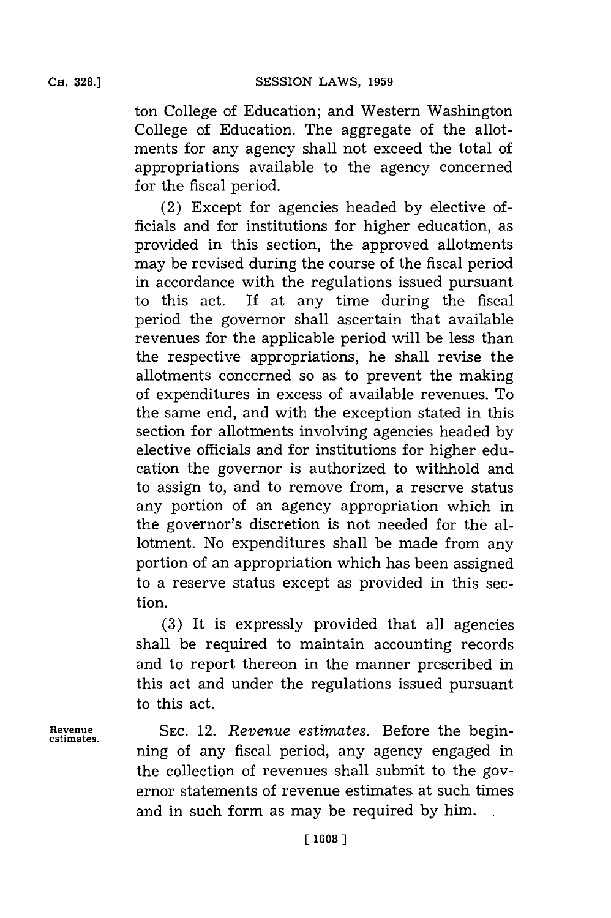ton College of Education; and Western Washington College of Education. The aggregate of the allotments for any agency shall not exceed the total of appropriations available to the agency concerned for the fiscal period.

(2) Except for agencies headed **by** elective officials and for institutions for higher education, as provided in this section, the approved allotments may be revised during the course of the fiscal period in accordance with the regulations issued pursuant to this act. **If** at any time during the fiscal period the governor shall ascertain that available revenues for the applicable period will be less than the respective appropriations, he shall revise the allotments concerned so as to prevent the making of expenditures in excess of available revenues. To the same end, and with the exception stated in this section for allotments involving agencies headed **by** elective officials and for institutions for higher education the governor is authorized to withhold and to assign to, and to remove from, a reserve status any portion of an agency appropriation which in the governor's discretion is not needed for the allotment. No expenditures shall be made from any portion of an appropriation which has been assigned to a reserve status except as provided in this section.

**(3)** It is expressly provided that all agencies shall be required to maintain accounting records and to report thereon in the manner prescribed in this act and under the regulations issued pursuant to this act.

**Revenue SEC.** 12. *Revenue estimates.* Before the begin- **estimates.** ning of any fiscal period, any agency engaged in the collection of revenues shall submit to the governor statements of revenue estimates at such times and in such form as may be required **by** him.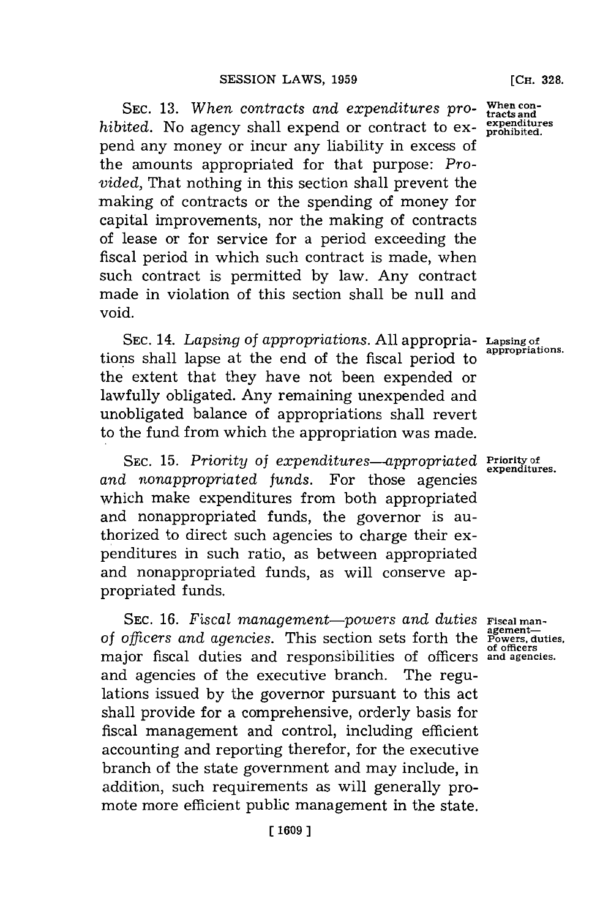SEC. 13. When contracts and expenditures pro- When con hibited. No agency shall expend or contract to expend any money or incur any liability in excess of the amounts appropriated for that purpose: *Provided,* That nothing in this section shall prevent the making of contracts or the spending of money for capital improvements, nor the making of contracts of lease or for service for a period exceeding the fiscal period in which such contract is made, when such contract is permitted **by** law. Any contract made in violation of this section shall be null and void.

SEC. 14. Lapsing of appropriations. All appropria- Lapsing of tions shall lapse at the end of the fiscal period to the extent that they have not been expended or lawfully obligated. Any remaining unexpended and unobligated balance of appropriations shall revert to the fund from which the appropriation was made.

SEC. 15. Priority of expenditures-appropriated **Priority of** and nonappropriated funds. For those agencies which make expenditures from both appropriated and nonappropriated funds, the governor is authorized to direct such agencies to charge their expenditures in such ratio, as between appropriated and nonappropriated funds, as will conserve appropriated funds.

SEC. 16. Fiscal management-powers and duties Fiscal man-SEC. 16. *Fiscal management—powers and duties* Fiscal man-<br>of officers and agencies. This section sets forth the Powers, duties major fiscal duties and responsibilities of officers **of officers and agencies.**and agencies of the executive branch. The regulations issued **by** the governor pursuant to this act shall provide for a comprehensive, orderly basis for fiscal management and control, including efficient accounting and reporting therefor, for the executive branch of the state government and may include, in addition, such requirements as will generally promote more efficient public management in the state.

**appropriations.**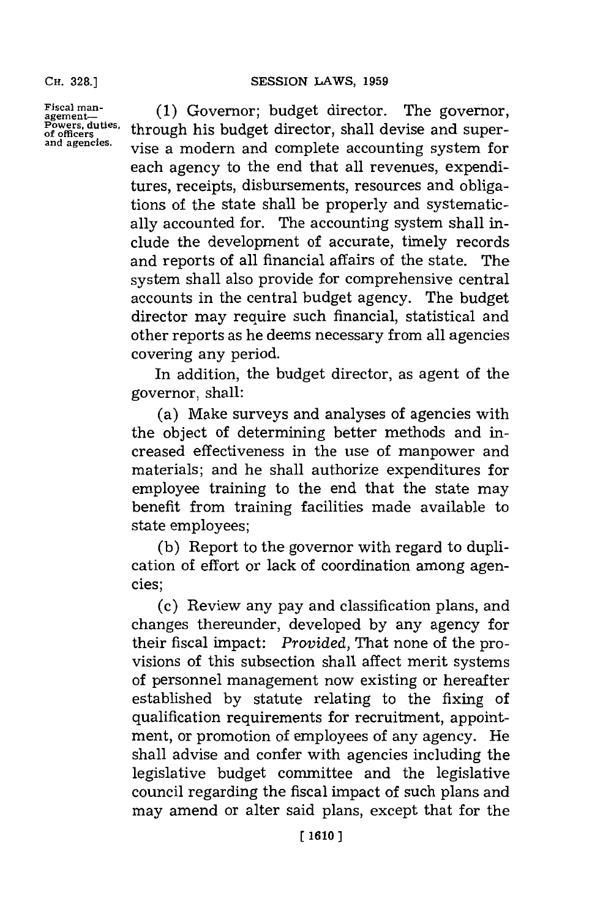**CH. 328.]**

**Fiscal man- agement-Powers, duties, of officers and a gencies.**

**(1)** Governor; budget director. The governor, through his budget director, shall devise and supervise a modern and complete accounting system for each agency to the end that all revenues, expenditures, receipts, disbursements, resources and obligations of the state shall be properly and systematically accounted for. The accounting system shall include the development of accurate, timely records and reports of all financial affairs of the state. The system shall also provide for comprehensive central accounts in the central budget agency. The budget director may require such financial, statistical and other reports as he deems necessary from all agencies covering any period.

In addition, the budget director, as agent of the governor, shall:

(a) Make surveys and analyses of agencies with the object of determining better methods and increased effectiveness in the use of manpower and materials; and he shall authorize expenditures for employee training to the end that the state may benefit from training facilities made available to state employees;

**(b)** Report to the governor with regard to duplication of effort or lack of coordination among agencies;

(c) Review any pay and classification plans, and changes thereunder, developed **by** any agency for their fiscal impact: *Provided,* That none of the provisions of this subsection shall affect merit systems of personnel management now existing or hereafter established **by** statute relating to the fixing of qualification requirements for recruitment, appointment, or promotion of employees of any agency. He shall advise and confer with agencies including the legislative budget committee and the legislative council regarding the fiscal impact of such plans and may amend or alter said plans, except that for the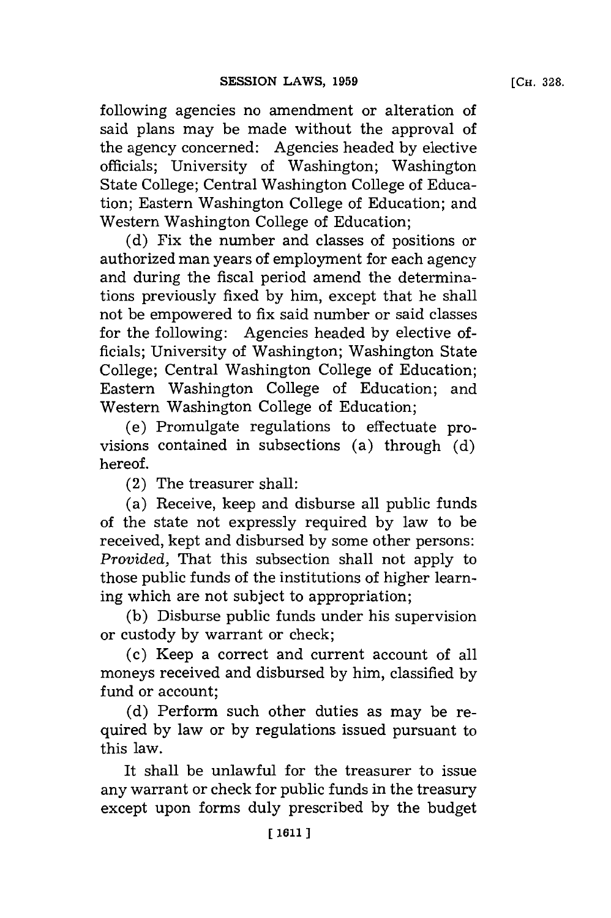following agencies no amendment or alteration of said plans may be made without the approval of the agency concerned: Agencies headed **by** elective officials; University of Washington; Washington State College; Central Washington College of Education; Eastern Washington College of Education; and Western Washington College of Education;

**(d)** Fix the number and classes of positions or authorized man years of employment for each agency and during the fiscal period amend the determinations previously fixed **by** him, except that he shall not be empowered to fix said number or said classes for the following: Agencies headed **by** elective officials; University of Washington; Washington State College; Central Washington College of Education; Eastern Washington College of Education; and Western Washington College of Education;

(e) Promulgate regulations to effectuate provisions contained in subsections (a) through **(d)** hereof.

(2) The treasurer shall:

(a) Receive, keep and disburse all public funds of the state not expressly required **by** law to be received, kept and disbursed **by** some other persons: *Provided,* That this subsection shall not apply to those public funds of the institutions of higher learning which are not subject to appropriation;

**(b)** Disburse public funds under his supervision or custody **by** warrant or check;

(c) Keep a correct and current account of all moneys received and disbursed **by** him, classified **by** fund or account;

**(d)** Perform such other duties as may be required **by** law or **by** regulations issued pursuant to this law.

It shall be unlawful for the treasurer to issue any warrant or check for public funds in the treasury except upon forms duly prescribed **by** the budget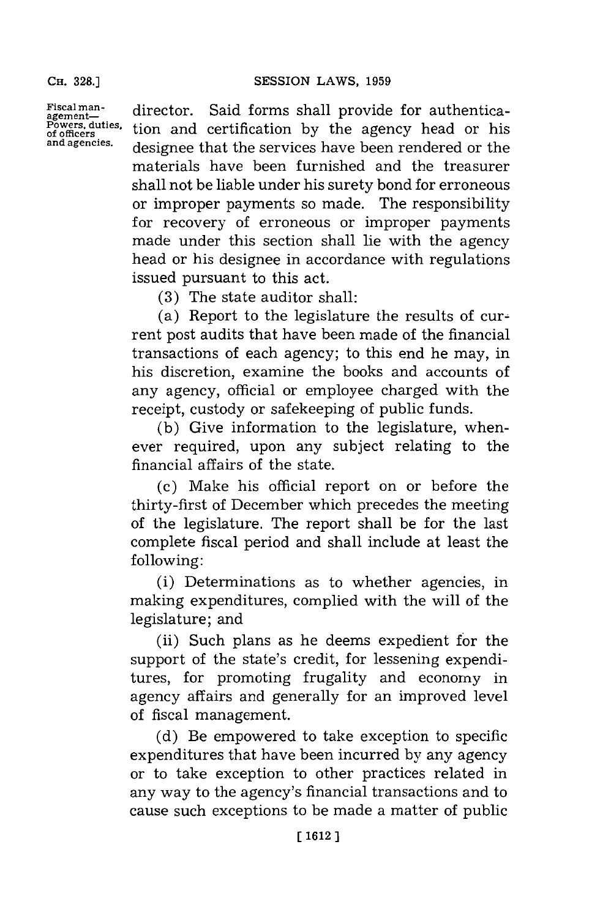**Fiscal mnan- agement-Powers, duties, of officers and agencies.**

director. Said forms shall provide for authentication and certification **by** the agency head or his designee that the services have been rendered or the materials have been furnished and the treasurer shall not be liable under his surety bond for erroneous or improper payments so made. The responsibility for recovery of erroneous or improper payments made under this section shall lie with the agency head or his designee in accordance with regulations issued pursuant to this act.

**(3)** The state auditor shall:

(a) Report to the legislature the results of current post audits that have been made of the financial transactions of each agency; to this end he may, in his discretion, examine the books and accounts of any agency, official or employee charged with the receipt, custody or safekeeping of public funds.

**(b)** Give information to the legislature, whenever required, upon any subject relating to the financial affairs of the state.

(c) Make his official report on or before the thirty-first of December which precedes the meeting of the legislature. The report shall be for the last complete fiscal period and shall include at least the following:

(i) Determinations as to whether agencies, in making expenditures, complied with the will of the legislature; and

(ii) Such plans as he deems expedient for the support of the state's credit, for lessening expenditures, for promoting frugality and economy in agency affairs and generally for an improved level of fiscal management.

**(d)** Be empowered to take exception to specific expenditures that have been incurred **by** any agency or to take exception to other practices related in any way to the agency's financial transactions and to cause such exceptions to be made a matter of public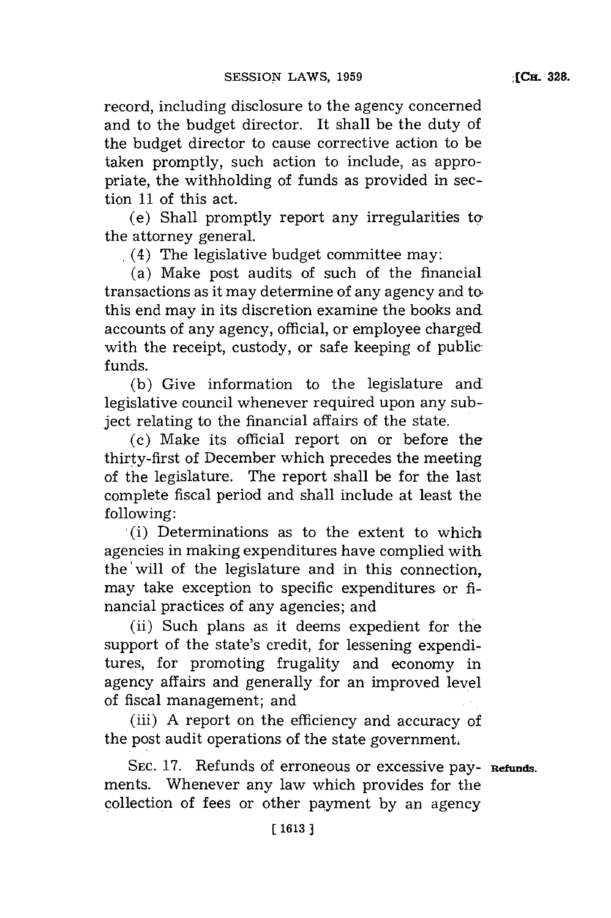record, including disclosure to the agency concerned and to the budget director. It shall be the duty of the budget director to cause corrective action to be taken promptly, such action to include, as appropriate, the withholding of funds as provided in section **11** of this act.

 $(e)$  Shall promptly report any irregularities to the attorney general.

(4) The legislative budget committee may:

(a) Make post audits of such of the financial. transactions as it may determine of any agency and to this end may in its discretion examine the books and accounts of any agency, official, or employee chargedwith the receipt, custody, or safe keeping of public: funds.

**(b)** Give information to the legislature andlegislative council whenever required upon any subject relating to the financial affairs of the state.

(c) Make its official report on or before the thirty-first of December which precedes the meeting of the legislature. The report shall be for the last complete fiscal period and shall include at least the **f** ollowing:

(i) Determinations as to the extent to which agencies in making expenditures have complied with the will of the legislature and in this connection, may take exception to specific expenditures or financial practices of any agencies; and

(ii) Such plans as it deems expedient for the support of the state's credit, for lessening expenditures, for promoting frugality and economy in agency affairs and generally for an improved level of fiscal management; and

(iii) **A** report on the efficiency and accuracy of the post audit operations of the state government.

**SEC. 17.** Refunds of erroneous or excessive pay- **Refunds.** ments. Whenever any law which provides for the collection of fees or other payment **by** an agency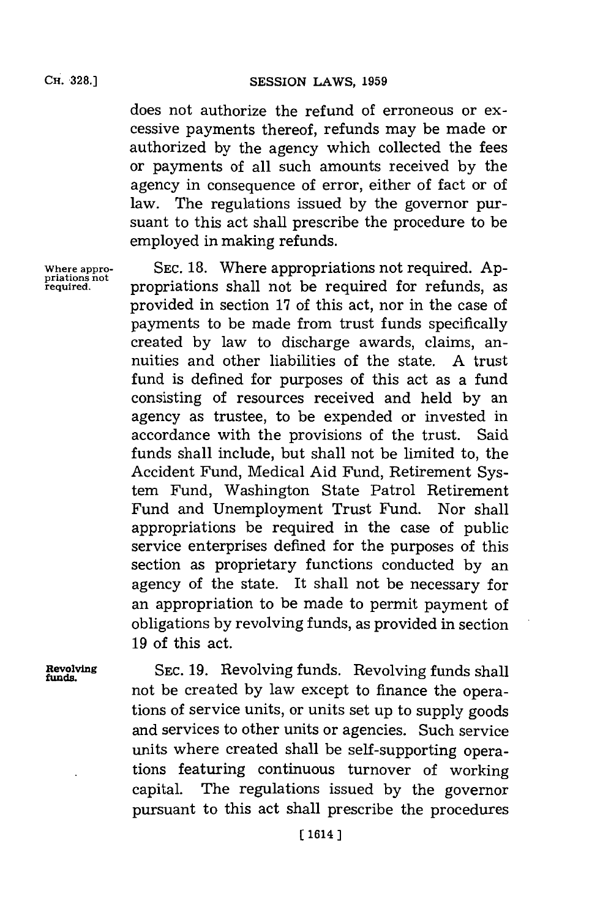does not authorize the refund of erroneous or excessive payments thereof, refunds may be made or authorized **by** the agency which collected the fees or payments of all such amounts received **by** the agency in consequence of error, either of fact or of law. The regulations issued **by** the governor pursuant to this act shall prescribe the procedure to be employed in making refunds.

**Where appro- SEC. 18.** Where appropriations not required. **Ap- priations not** propriations shall not be required for refunds, as provided in section **17** of this act, nor in the case of payments to be made from trust funds specifically created **by** law to discharge awards, claims, annuities and other liabilities of the state. **A** trust fund is defined for purposes of this act as a fund consisting of resources received and held **by** an agency as trustee, to be expended or invested in accordance with the provisions of the trust. Said funds shall include, but shall not be limited to, the Accident Fund, Medical Aid Fund, Retirement System Fund, Washington State Patrol Retirement Fund and Unemployment Trust Fund. Nor shall appropriations be required in the case of public service enterprises defined for the purposes of this section as proprietary functions conducted **by** an agency of the state. It shall not be necessary for an appropriation to be made to permit payment of obligations **by** revolving funds, as provided in section **19** of this act.

**Revolving SEC. 19.** Revolving funds. Revolving funds shall **funds.** not be created **by** law except to finance the operations of service units, or units set up to supply goods and services to other units or agencies. Such service units where created shall be self-supporting operations featuring continuous turnover of working capital. The regulations issued **by** the governor pursuant to this act shall prescribe the procedures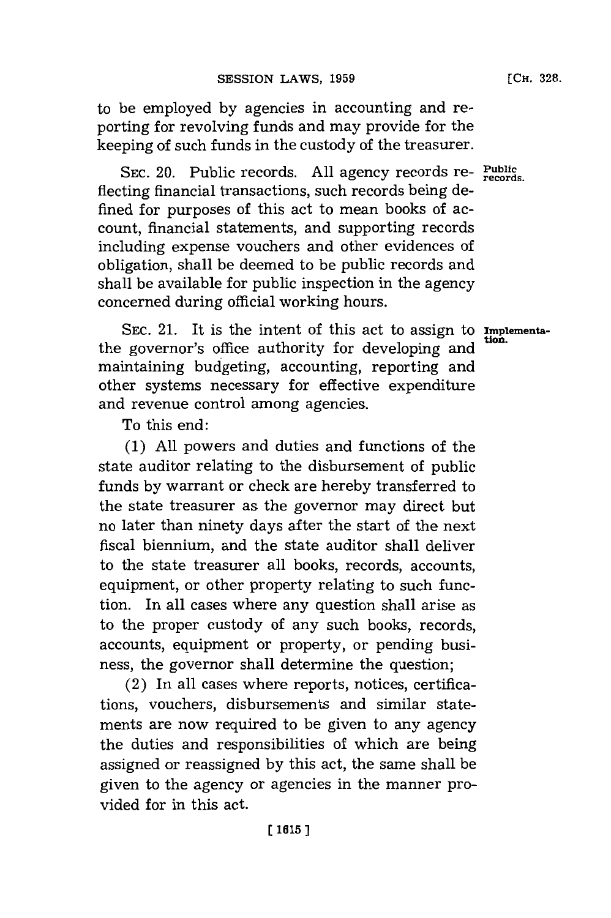to be employed **by** agencies in accounting and reporting for revolving funds and may provide for the keeping of such funds in the custody of the treasurer.

**SEC.** 20. Public records. **All** agency records re- **Public records.** fiecting financial transactions, such records being defined for purposes of this act to mean books of account, financial statements, and supporting records including expense vouchers and other evidences of obligation, shall be deemed to be public records and shall be available for public inspection in the agency concerned during official working hours.

SEC. 21. It is the intent of this act to assign to **Implementa**the governor's office authority for developing and maintaining budgeting, accounting, reporting and other systems necessary for effective expenditure and revenue control among agencies.

To this end:

**(1) All** powers and duties and functions of the state auditor relating to the disbursement of public funds **by** warrant or check are hereby transferred to the state treasurer as the governor may direct but no later than ninety days after the start of the next fiscal biennium, and the state auditor shall deliver to the state treasurer all books, records, accounts, equipment, or other property relating to such function. In all cases where any question shall arise as to the proper custody of any such books, records, accounts, equipment or property, or pending business, the governor shall determine the question;

(2) In all cases where reports, notices, certifications, vouchers, disbursements and similar statements are now required to be given to any agency the duties and responsibilities of which are being assigned or reassigned **by** this act, the same shall be given to the agency or agencies in the manner provided for in this act.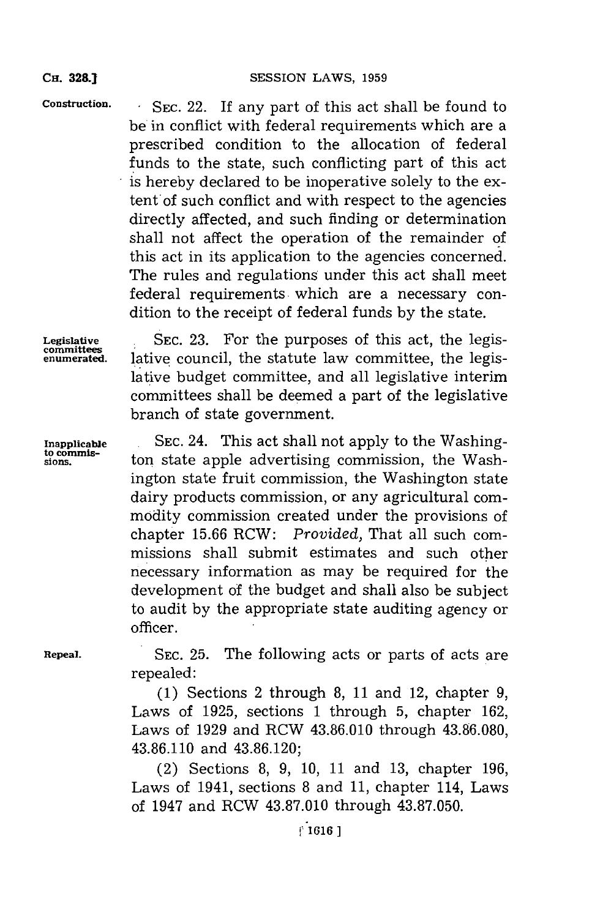**CH. 32&1**

Construction. SEC. 22. If any part of this act shall be found to be in conflict with federal requirements which are a prescribed condition to the allocation of federal funds to the state, such conflicting part of this act is hereby declared to be inoperative solely to the extent of such conflict and with respect to the agencies directly affected, and such finding or determination shall not affect the operation of the remainder of this act in its application to the agencies concerned. The rules and regulations under this act shall meet federal requirements which are a necessary condition to the receipt of federal funds **by** the state.

**Legislative SEC. 23.** For the purposes of this act, the legisenumerated. lative council, the statute law committee, the legislative budget committee, and all legislative interim committees shall be deemed a part of the legislative branch of state government.

**Inapplicable SEC.** 24. This act shall not apply to the Washingto commis-<br>sions. ton state apple advertising commission, the Washington state fruit commission, the Washington state dairy products commission, or any agricultural commodity commission created under the provisions of chapter **15.66** RCW: *Provided,* That all such commissions shall submit estimates and such other ne cessary information as may be required for the development of the budget and shall also be subject to audit **by** the appropriate state auditing agency or officer.

**Repeal. SEC. 25.** The following acts or parts of acts are repealed:

> **(1)** Sections 2 through **8, 11** and 12, chapter **9,** Laws of **1925,** sections **1** through **5,** chapter **162,** Laws of **1929** and RCW **43.86.010** through **43.86.080, 43.86.110** and **43.86.120;**

> (2) Sections **8, 9, 10, 11** and **13,** chapter **196,** Laws of 1941, sections **8** and **11,** chapter 114, Laws of 1947 and RCW **43.87.010** through **43.87.050.**